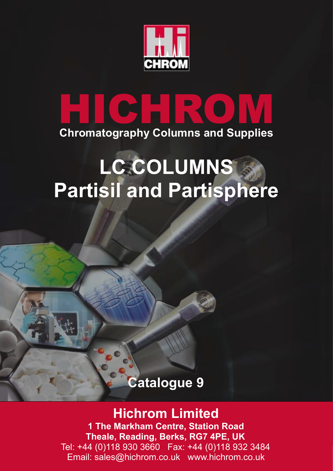

# **HICHROM Chromatography Columns and Supplies**

# **LC COLUMNS Partisil and Partisphere**

# **Catalogue 9**

# **Hichrom Limited**

**1 The Markham Centre, Station Road Theale, Reading, Berks, RG7 4PE, UK** Tel: +44 (0)118 930 3660 Fax: +44 (0)118 932 3484 Email: sales@hichrom.co.uk www.hichrom.co.uk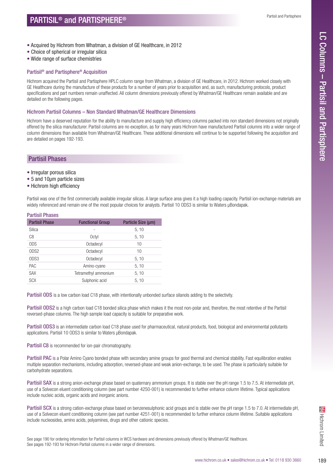- Acquired by Hichrom from Whatman, a division of GE Healthcare, in 2012
- Choice of spherical or irregular silica
- Wide range of surface chemistries

# Partisil® and Partisphere® Acquisition

Hichrom acquired the Partisil and Partisphere HPLC column range from Whatman, a division of GE Healthcare, in 2012. Hichrom worked closely with GE Healthcare during the manufacture of these products for a number of years prior to acquisition and, as such, manufacturing protocols, product specifications and part numbers remain unaffected. All column dimensions previously offered by Whatman/GE Healthcare remain available and are detailed on the following pages.

## Hichrom Partisil Columns – Non Standard Whatman/GE Healthcare Dimensions

Hichrom have a deserved reputation for the ability to manufacture and supply high efficiency columns packed into non standard dimensions not originally offered by the silica manufacturer. Partisil columns are no exception, as for many years Hichrom have manufactured Partisil columns into a wider range of column dimensions than available from Whatman/GE Healthcare. These additional dimensions will continue to be supported following the acquisition and are detailed on pages 192-193.

# Partisil Phases

- Irregular porous silica
- 5 and 10µm particle sizes
- Hichrom high efficiency

Partisil was one of the first commercially available irregular silicas. A large surface area gives it a high loading capacity. Partisil ion-exchange materials are widely referenced and remain one of the most popular choices for analysts. Partisil 10 ODS3 is similar to Waters µBondapak.

#### Partisil Phases

| <b>Partisil Phase</b> | <b>Functional Group</b> | Particle Size (µm) |
|-----------------------|-------------------------|--------------------|
| Silica                |                         | 5, 10              |
| C <sub>8</sub>        | Octyl                   | 5, 10              |
| <b>ODS</b>            | Octadecyl               | 10                 |
| ODS <sub>2</sub>      | Octadecyl               | 10                 |
| ODS3                  | Octadecyl               | 5, 10              |
| PAC                   | Amino-cyano             | 5, 10              |
| <b>SAX</b>            | Tetramethyl ammonium    | 5, 10              |
| <b>SCX</b>            | Sulphonic acid          | 5, 10              |

Partisil ODS is a low carbon load C18 phase, with intentionally unbonded surface silanols adding to the selectivity.

Partisil ODS2 is a high carbon load C18 bonded silica phase which makes it the most non-polar and, therefore, the most retentive of the Partisil reversed-phase columns. The high sample load capacity is suitable for preparative work.

Partisil ODS3 is an intermediate carbon load C18 phase used for pharmaceutical, natural products, food, biological and environmental pollutants applications. Partisil 10 ODS3 is similar to Waters µBondapak.

Partisil C8 is recommended for ion-pair chromatography.

Partisil PAC is a Polar Amino Cyano bonded phase with secondary amine groups for good thermal and chemical stability. Fast equilibration enables multiple separation mechanisms, including adsorption, reversed-phase and weak anion-exchange, to be used. The phase is particularly suitable for carbohydrate separations.

Partisil SAX is a strong anion-exchange phase based on quaternary ammonium groups. It is stable over the pH range 1.5 to 7.5. At intermediate pH, use of a Solvecon eluent conditioning column (see part number 4250-001) is recommended to further enhance column lifetime. Typical applications include nucleic acids, organic acids and inorganic anions.

Figure Finance Column memne. Suitable applications<br>fered by Whatman/GE Healthcare.<br>www.hichrom.co.uk • sales@hichrom.co.uk • Tel: 0118 930 3660 189 Partisil SCX is a strong cation-exchange phase based on benzenesulphonic acid groups and is stable over the pH range 1.5 to 7.0. At intermediate pH, use of a Solvecon eluent conditioning column (see part number 4251-001) is recommended to further enhance column lifetime. Suitable applications include nucleosides, amino acids, polyamines, drugs and other cationic species.

See page 190 for ordering information for Partisil columns in WCS hardware and dimensions previously offered by Whatman/GE Healthcare. See pages 192-193 for Hichrom Partisil columns in a wider range of dimensions.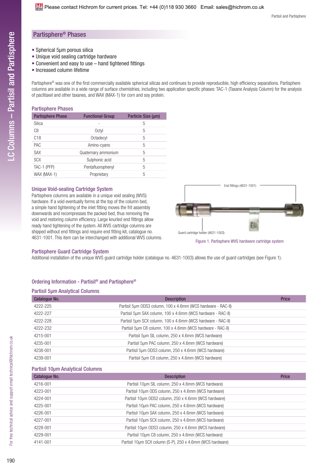## Partisphere® Phases

- Spherical 5µm porous silica
- Unique void sealing cartridge hardware
- Convenient and easy to use hand tightened fittings
- Increased column lifetime

Partisphere® was one of the first commercially available spherical silicas and continues to provide reproducible, high efficiency separations. Partisphere columns are available in a wide range of surface chemistries, including two application specific phases: TAC-1 (Taxane Analysis Column) for the analysis of paclitaxel and other taxanes, and WAX (MAX-1) for corn and soy protein.

#### Partisphere Phases

| <b>Partisphere Phase</b> | <b>Functional Group</b> | Particle Size (µm) |
|--------------------------|-------------------------|--------------------|
| Silica                   |                         | 5                  |
| C <sub>8</sub>           | Octyl                   | 5                  |
| C <sub>18</sub>          | Octadecyl               | 5                  |
| PAC                      | Amino-cyano             | 5                  |
| <b>SAX</b>               | Quaternary ammonium     | 5                  |
| <b>SCX</b>               | Sulphonic acid          | 5                  |
| TAC-1 (PFP)              | Pentafluorophenyl       | 5                  |
| WAX (MAX-1)              | Proprietary             | 5                  |

#### Unique Void-sealing Cartridge System

Partisphere columns are available in a unique void sealing (WVS) hardware. If a void eventually forms at the top of the column bed, a simple hand tightening of the inlet fitting moves the frit assembly downwards and recompresses the packed bed, thus removing the void and restoring column efficiency. Large knurled end fittings allow ready hand tightening of the system. All WVS cartridge columns are shipped without end fittings and require end fitting kit, catalogue no. 4631-1001. This item can be interchanged with additional WVS columns.



#### Partisphere Guard Cartridge System

Additional installation of the unique WVS guard cartridge holder (catalogue no. 4631-1003) allows the use of guard cartridges (see Figure 1).

#### Ordering Information - Partisil® and Partisphere®

#### Partisil 5µm Analytical Columns

| Catalogue No. | <b>Description</b>                                            | <b>Price</b> |
|---------------|---------------------------------------------------------------|--------------|
| 4222-225      | Partisil 5um ODS3 column, 100 x 4.6mm (WCS hardware - RAC-II) |              |
| 4222-227      | Partisil 5um SAX column, 100 x 4.6mm (WCS hardware - RAC-II)  |              |
| 4222-228      | Partisil 5um SCX column, 100 x 4.6mm (WCS hardware - RAC-II)  |              |
| 4222-232      | Partisil 5um C8 column, 100 x 4.6mm (WCS hardware - RAC-II)   |              |
| 4215-001      | Partisil 5um SIL column, 250 x 4.6mm (WCS hardware)           |              |
| 4235-001      | Partisil 5um PAC column, 250 x 4.6mm (WCS hardware)           |              |
| 4238-001      | Partisil 5um ODS3 column, 250 x 4.6mm (WCS hardware)          |              |
| 4239-001      | Partisil 5um C8 column, 250 x 4.6mm (WCS hardware)            |              |

#### Partisil 10µm Analytical Columns

| Catalogue No. | <b>Description</b>                                         | <b>Price</b> |
|---------------|------------------------------------------------------------|--------------|
| 4216-001      | Partisil 10um SIL column, 250 x 4.6mm (WCS hardware)       |              |
| 4223-001      | Partisil 10um ODS column, 250 x 4.6mm (WCS hardware)       |              |
| 4224-001      | Partisil 10um ODS2 column, 250 x 4.6mm (WCS hardware)      |              |
| 4225-001      | Partisil 10um PAC column, 250 x 4.6mm (WCS hardware)       |              |
| 4226-001      | Partisil 10um SAX column, 250 x 4.6mm (WCS hardware)       |              |
| 4227-001      | Partisil 10um SCX column, 250 x 4.6mm (WCS hardware)       |              |
| 4228-001      | Partisil 10um ODS3 column, 250 x 4.6mm (WCS hardware)      |              |
| 4229-001      | Partisil 10um C8 column, 250 x 4.6mm (WCS hardware)        |              |
| 4141-001      | Partisil 10µm SCX column (S-P), 250 x 4.6mm (WCS hardware) |              |
|               |                                                            |              |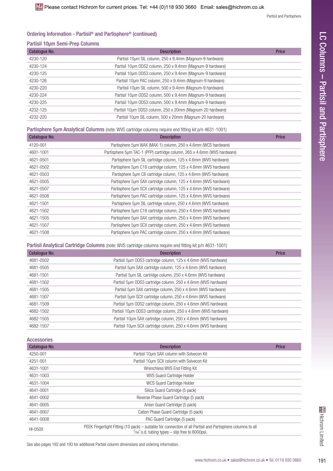# Ordering Information - Partisil® and Partisphere® (continued)

## Partisil 10µm Semi-Prep Columns

| Catalogue No. | <b>Description</b>                                         | Price |
|---------------|------------------------------------------------------------|-------|
| 4230-120      | Partisil 10um SIL column, 250 x 9.4mm (Magnum-9 hardware)  |       |
| 4230-124      | Partisil 10um ODS2 column, 250 x 9.4mm (Magnum-9 hardware) |       |
| 4230-125      | Partisil 10um 0DS3 column, 250 x 9.4mm (Magnum-9 hardware) |       |
| 4230-126      | Partisil 10um PAC column, 250 x 9.4mm (Magnum-9 hardware)  |       |
| 4230-220      | Partisil 10um SIL column, 500 x 9.4mm (Magnum-9 hardware)  |       |
| 4230-224      | Partisil 10um ODS2 column, 500 x 9.4mm (Magnum-9 hardware) |       |
| 4230-225      | Partisil 10um 0DS3 column, 500 x 9.4mm (Magnum-9 hardware) |       |
| 4232-125      | Partisil 10um ODS3 column, 250 x 20mm (Magnum-20 hardware) |       |
| 4232-220      | Partisil 10um SIL column, 500 x 20mm (Magnum-20 hardware)  |       |

Partisphere 5µm Analytical Columns (note: WVS cartridge columns require end fitting kit p/n 4631-1001)

| Catalogue No. | <b>Description</b>                                                       | <b>Price</b> |
|---------------|--------------------------------------------------------------------------|--------------|
| 4120-001      | Partisphere 5um WAX (MAX-1) column, 250 x 4.6mm (WCS hardware)           |              |
| 4601-1001     | Partisphere 5um TAC-1 (PFP) cartridge column, 265 x 4.6mm (WVS hardware) |              |
| 4621-0501     | Partisphere 5µm SIL cartridge column, 125 x 4.6mm (WVS hardware)         |              |
| 4621-0502     | Partisphere 5um C18 cartridge column, 125 x 4.6mm (WVS hardware)         |              |
| 4621-0503     | Partisphere 5um C8 cartridge column, 125 x 4.6mm (WVS hardware)          |              |
| 4621-0505     | Partisphere 5um SAX cartridge column, 125 x 4.6mm (WVS hardware)         |              |
| 4621-0507     | Partisphere 5um SCX cartridge column, 125 x 4.6mm (WVS hardware)         |              |
| 4621-0508     | Partisphere 5um PAC cartridge column, 125 x 4.6mm (WVS hardware)         |              |
| 4621-1501     | Partisphere 5µm SIL cartridge column, 250 x 4.6mm (WVS hardware)         |              |
| 4621-1502     | Partisphere 5um C18 cartridge column, 250 x 4.6mm (WVS hardware)         |              |
| 4621-1505     | Partisphere 5um SAX cartridge column, 250 x 4.6mm (WVS hardware)         |              |
| 4621-1507     | Partisphere 5um SCX cartridge column, 250 x 4.6mm (WVS hardware)         |              |
| 4621-1508     | Partisphere 5um PAC cartridge column, 250 x 4.6mm (WVS hardware)         |              |

Partisil Analytical Cartridge Columns (note: WVS cartridge columns require end fitting kit p/n 4631-1001)

| Catalogue No. | <b>Description</b>                                              | <b>Price</b> |
|---------------|-----------------------------------------------------------------|--------------|
| 4681-0502     | Partisil 5µm ODS3 cartridge column, 125 x 4.6mm (WVS hardware)  |              |
| 4681-0505     | Partisil 5um SAX cartridge column, 125 x 4.6mm (WVS hardware)   |              |
| 4681-1501     | Partisil 5um SIL cartridge column, 250 x 4.6mm (WVS hardware)   |              |
| 4681-1502     | Partisil 5um ODS3 cartridge column, 250 x 4.6mm (WVS hardware)  |              |
| 4681-1505     | Partisil 5um SAX cartridge column, 250 x 4.6mm (WVS hardware)   |              |
| 4681-1507     | Partisil 5um SCX cartridge column, 250 x 4.6mm (WVS hardware)   |              |
| 4681-1509     | Partisil 5um ODS2 cartridge column, 250 x 4.6mm (WVS hardware)  |              |
| 4682-1502     | Partisil 10um 0DS3 cartridge column, 250 x 4.6mm (WVS hardware) |              |
| 4682-1505     | Partisil 10um SAX cartridge column, 250 x 4.6mm (WVS hardware)  |              |
| 4682-1507     | Partisil 10um SCX cartridge column, 250 x 4.6mm (WVS hardware)  |              |

Accessories

| Catalogue No.  | <b>Description</b>                                                                                                                                                      | <b>Price</b> |
|----------------|-------------------------------------------------------------------------------------------------------------------------------------------------------------------------|--------------|
| 4250-001       | Partisil 10um SAX column with Solvecon Kit                                                                                                                              |              |
| 4251-001       | Partisil 10um SCX column with Solvecon Kit                                                                                                                              |              |
| 4631-1001      | Wrenchless WVS End Fitting Kit                                                                                                                                          |              |
| 4631-1003      | <b>WVS Guard Cartridge Holder</b>                                                                                                                                       |              |
| 4631-1004      | WCS Guard Cartridge Holder                                                                                                                                              |              |
| 4641-0001      | Silica Guard Cartridge (5 pack)                                                                                                                                         |              |
| 4641-0002      | Reverse Phase Guard Cartridge (5 pack)                                                                                                                                  |              |
| 4641-0005      | Anion Guard Cartridge (5 pack)                                                                                                                                          |              |
| 4641-0007      | Cation Phase Guard Cartridge (5 pack)                                                                                                                                   |              |
| 4641-0008      | PAC Guard Cartridge (5 pack)                                                                                                                                            |              |
| <b>HI-050X</b> | PEEK Fingertight Fitting (10 pack) – suitable for connection of all Partisil and Partisphere columns to all<br>$\frac{1}{16}$ o.d. tubing types – slip free to 6000psi. |              |
|                | See also pages 192 and 193 for additional Partisil column dimensions and ordering information.                                                                          |              |
|                | www.hichrom.co.uk • sales@hichrom.co.uk • Tel: 0118 930 3660                                                                                                            |              |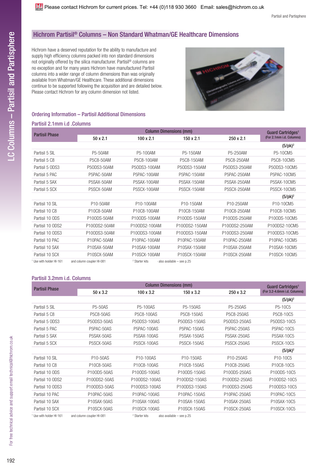# Hichrom Partisil® Columns – Non Standard Whatman/GE Healthcare Dimensions

Hichrom have a deserved reputation for the ability to manufacture and supply high efficiency columns packed into non standard dimensions not originally offered by the silica manufacturer. Partisil® columns are no exception and for many years Hichrom have manufactured Partisil columns into a wider range of column dimensions than was originally available from Whatman/GE Healthcare. These additional dimensions continue to be supported following the acquisition and are detailed below. Please contact Hichrom for any column dimension not listed.



#### Ordering Information – Partisil Additional Dimensions

#### Partisil 2.1mm i.d .Columns

| <b>Partisil Phase</b>     |                               | <b>Column Dimensions (mm)</b> |                            |               |                                                           |
|---------------------------|-------------------------------|-------------------------------|----------------------------|---------------|-----------------------------------------------------------|
|                           | $50 \times 2.1$               | $100 \times 2.1$              | 150 x 2.1                  | 250 x 2.1     | Guard Cartridges <sup>1</sup><br>(For 2.1mm i.d. Columns) |
|                           |                               |                               |                            |               | $(5/pk)^2$                                                |
| Partisil 5 SIL            | P5-50AM                       | P5-100AM                      | P5-150AM                   | P5-250AM      | P5-10CM5                                                  |
| Partisil 5 C8             | P5C8-50AM                     | P5C8-100AM                    | P5C8-150AM                 | P5C8-250AM    | P5C8-10CM5                                                |
| Partisil 5 ODS3           | P50DS3-50AM                   | P50DS3-100AM                  | P50DS3-150AM               | P50DS3-250AM  | P50DS3-10CM5                                              |
| Partisil 5 PAC            | P5PAC-50AM                    | P5PAC-100AM                   | P5PAC-150AM                | P5PAC-250AM   | P5PAC-10CM5                                               |
| Partisil 5 SAX            | P5SAX-50AM                    | P5SAX-100AM                   | P5SAX-150AM                | P5SAX-250AM   | P5SAX-10CM5                                               |
| Partisil 5 SCX            | P5SCX-50AM                    | P5SCX-100AM                   | P5SCX-150AM                | P5SCX-250AM   | P5SCX-10CM5                                               |
|                           |                               |                               |                            |               | $(5$ /pk $)^2$                                            |
| Partisil 10 SIL           | P10-50AM                      | P10-100AM                     | P10-150AM                  | P10-250AM     | P10-10CM5                                                 |
| Partisil 10 C8            | P10C8-50AM                    | P10C8-100AM                   | P10C8-150AM                | P10C8-250AM   | P10C8-10CM5                                               |
| Partisil 10 ODS           | P100DS-50AM                   | P100DS-100AM                  | P100DS-150AM               | P100DS-250AM  | P100DS-10CM5                                              |
| Partisil 10 ODS2          | P100DS2-50AM                  | P100DS2-100AM                 | P100DS2-150AM              | P100DS2-250AM | P100DS2-10CM5                                             |
| Partisil 10 ODS3          | P100DS3-50AM                  | P100DS3-100AM                 | P100DS3-150AM              | P100DS3-250AM | P100DS3-10CM5                                             |
| Partisil 10 PAC           | P10PAC-50AM                   | P10PAC-100AM                  | P10PAC-150AM               | P10PAC-250AM  | P10PAC-10CM5                                              |
| Partisil 10 SAX           | P10SAX-50AM                   | P10SAX-100AM                  | P10SAX-150AM               | P10SAX-250AM  | P10SAX-10CM5                                              |
| Partisil 10 SCX           | P10SCX-50AM                   | P10SCX-100AM                  | P10SCX-150AM               | P10SCX-250AM  | P10SCX-10CM5                                              |
| ٩٥٩ ١١ اسمل امط طلب بممال | ٥٥٩ اللعمامييمم محصرنامم اممم | 2 Okazkaz Lika                | Alexandele - مصطلحات مماجر |               |                                                           |

Use with holder HI-161 and column coupler HI-081

Starter kits also available – see p.25

#### Partisil 3.2mm i.d. Columns

| <b>Partisil Phase</b>               |                           | <b>Column Dimensions (mm)</b> |                           |                    |                              |  |
|-------------------------------------|---------------------------|-------------------------------|---------------------------|--------------------|------------------------------|--|
|                                     | 50 x 3.2                  | $100 \times 3.2$              | 150 x 3.2                 | 250 x 3.2          | (For 3.2-4.6mm i.d. Columns) |  |
|                                     |                           |                               |                           |                    | $(5/pk)^2$                   |  |
| Partisil 5 SIL                      | <b>P5-50AS</b>            | <b>P5-100AS</b>               | P5-150AS                  | P5-250AS           | P5-10C5                      |  |
| Partisil 5 C8                       | <b>P5C8-50AS</b>          | P5C8-100AS                    | P5C8-150AS                | P5C8-250AS         | P5C8-10C5                    |  |
| Partisil 5 ODS3                     | P50DS3-50AS               | P50DS3-100AS                  | P50DS3-150AS              | P50DS3-250AS       | P50DS3-10C5                  |  |
| Partisil 5 PAC                      | P5PAC-50AS                | P5PAC-100AS                   | P5PAC-150AS               | P5PAC-250AS        | P5PAC-10C5                   |  |
| Partisil 5 SAX                      | P5SAX-50AS                | <b>P5SAX-100AS</b>            | <b>P5SAX-150AS</b>        | <b>P5SAX-250AS</b> | P5SAX-10C5                   |  |
| Partisil 5 SCX                      | P5SCX-50AS                | P5SCX-100AS                   | <b>P5SCX-150AS</b>        | <b>P5SCX-250AS</b> | <b>P5SCX-10C5</b>            |  |
|                                     |                           |                               |                           |                    | $(5$ /pk $)^2$               |  |
| Partisil 10 SIL                     | P10-50AS                  | P10-100AS                     | P10-150AS                 | P10-250AS          | P10-10C5                     |  |
| Partisil 10 C8                      | P10C8-50AS                | P10C8-100AS                   | P10C8-150AS               | P10C8-250AS        | P10C8-10C5                   |  |
| Partisil 10 ODS                     | P100DS-50AS               | P100DS-100AS                  | P100DS-150AS              | P100DS-250AS       | P100DS-10C5                  |  |
| Partisil 10 ODS2                    | P100DS2-50AS              | P100DS2-100AS                 | P100DS2-150AS             | P100DS2-250AS      | P100DS2-10C5                 |  |
| Partisil 10 ODS3                    | P100DS3-50AS              | P100DS3-100AS                 | P100DS3-150AS             | P100DS3-250AS      | P100DS3-10C5                 |  |
| Partisil 10 PAC                     | P10PAC-50AS               | P10PAC-100AS                  | P10PAC-150AS              | P10PAC-250AS       | P10PAC-10C5                  |  |
| Partisil 10 SAX                     | P10SAX-50AS               | P10SAX-100AS                  | P10SAX-150AS              | P10SAX-250AS       | P10SAX-10C5                  |  |
| Partisil 10 SCX                     | P10SCX-50AS               | P10SCX-100AS                  | P10SCX-150AS              | P10SCX-250AS       | P10SCX-10C5                  |  |
| <sup>1</sup> Use with holder HI-161 | and column coupler HI-081 | <sup>2</sup> Starter kits     | also available - see p.25 |                    |                              |  |